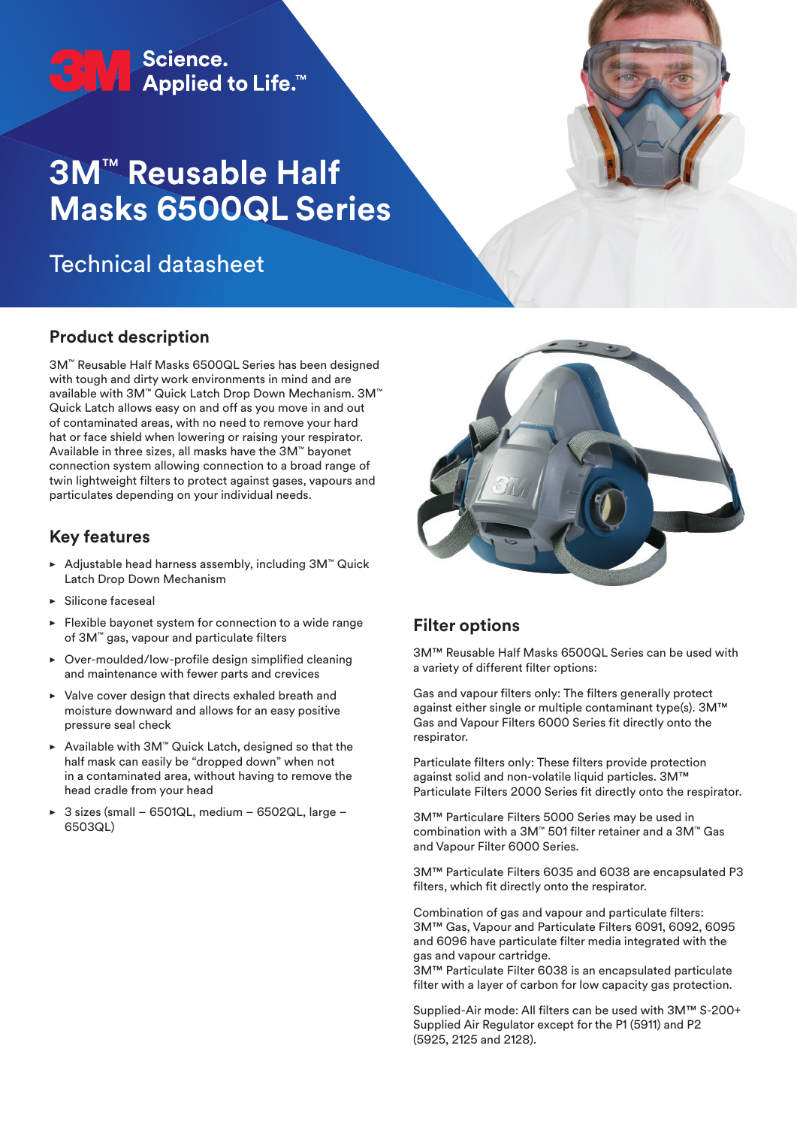## Science. Applied to Life.<sup>™</sup>

# **3M**™ **Reusable Half Masks 6500QL Series**

Technical datasheet

#### **Product description**

3M™ Reusable Half Masks 6500QL Series has been designed with tough and dirty work environments in mind and are available with 3M™ Quick Latch Drop Down Mechanism. 3M™ Quick Latch allows easy on and off as you move in and out of contaminated areas, with no need to remove your hard hat or face shield when lowering or raising your respirator. Available in three sizes, all masks have the 3M™ bayonet connection system allowing connection to a broad range of twin lightweight filters to protect against gases, vapours and particulates depending on your individual needs.

#### **Key features**

- ► Adjustable head harness assembly, including 3M™ Quick Latch Drop Down Mechanism
- Silicone faceseal
- Flexible bayonet system for connection to a wide range of 3M™ gas, vapour and particulate filters
- Over-moulded/low-profile design simplified cleaning and maintenance with fewer parts and crevices
- $\blacktriangleright$  Valve cover design that directs exhaled breath and moisture downward and allows for an easy positive pressure seal check
- ► Available with 3M™ Quick Latch, designed so that the half mask can easily be "dropped down" when not in a contaminated area, without having to remove the head cradle from your head
- 3 sizes (small 6501QL, medium 6502QL, large 6503QL)



#### **Filter options**

3M™ Reusable Half Masks 6500QL Series can be used with a variety of different filter options:

Gas and vapour filters only: The filters generally protect against either single or multiple contaminant type(s). 3M™ Gas and Vapour Filters 6000 Series fit directly onto the respirator.

Particulate filters only: These filters provide protection against solid and non-volatile liquid particles. 3M™ Particulate Filters 2000 Series fit directly onto the respirator.

3M™ Particulare Filters 5000 Series may be used in combination with a 3M™ 501 filter retainer and a 3M™ Gas and Vapour Filter 6000 Series.

3M™ Particulate Filters 6035 and 6038 are encapsulated P3 filters, which fit directly onto the respirator.

Combination of gas and vapour and particulate filters: 3M™ Gas, Vapour and Particulate Filters 6091, 6092, 6095 and 6096 have particulate filter media integrated with the gas and vapour cartridge.

3M™ Particulate Filter 6038 is an encapsulated particulate filter with a layer of carbon for low capacity gas protection.

Supplied-Air mode: All filters can be used with 3M™ S-200+ Supplied Air Regulator except for the P1 (5911) and P2 (5925, 2125 and 2128).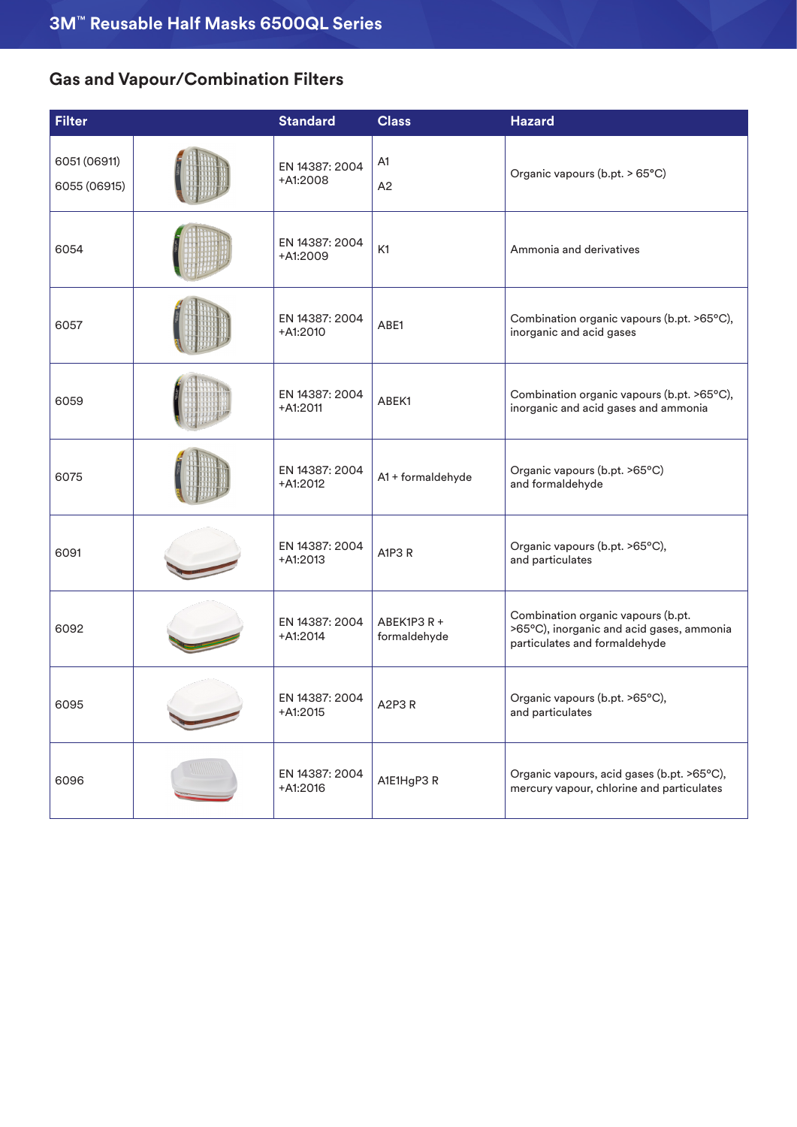## **Gas and Vapour/Combination Filters**

| <b>Filter</b>                | <b>Standard</b>              | <b>Class</b>                | <b>Hazard</b>                                                                                                    |
|------------------------------|------------------------------|-----------------------------|------------------------------------------------------------------------------------------------------------------|
| 6051 (06911)<br>6055 (06915) | EN 14387: 2004<br>+A1:2008   | A1<br>A <sub>2</sub>        | Organic vapours (b.pt. > 65°C)                                                                                   |
| 6054                         | EN 14387: 2004<br>+A1:2009   | K <sub>1</sub>              | Ammonia and derivatives                                                                                          |
| 6057                         | EN 14387: 2004<br>$+A1:2010$ | ABE1                        | Combination organic vapours (b.pt. >65°C),<br>inorganic and acid gases                                           |
| 6059                         | EN 14387: 2004<br>$+A1:2011$ | ABEK1                       | Combination organic vapours (b.pt. >65°C),<br>inorganic and acid gases and ammonia                               |
| 6075                         | EN 14387: 2004<br>+A1:2012   | A1 + formaldehyde           | Organic vapours (b.pt. >65°C)<br>and formaldehyde                                                                |
| 6091                         | EN 14387: 2004<br>$+A1:2013$ | A1P3R                       | Organic vapours (b.pt. >65°C),<br>and particulates                                                               |
| 6092                         | EN 14387: 2004<br>+A1:2014   | ABEK1P3 R +<br>formaldehyde | Combination organic vapours (b.pt.<br>>65°C), inorganic and acid gases, ammonia<br>particulates and formaldehyde |
| 6095                         | EN 14387: 2004<br>+A1:2015   | A2P3R                       | Organic vapours (b.pt. >65°C),<br>and particulates                                                               |
| 6096                         | EN 14387: 2004<br>+A1:2016   | A1E1HgP3 R                  | Organic vapours, acid gases (b.pt. >65°C),<br>mercury vapour, chlorine and particulates                          |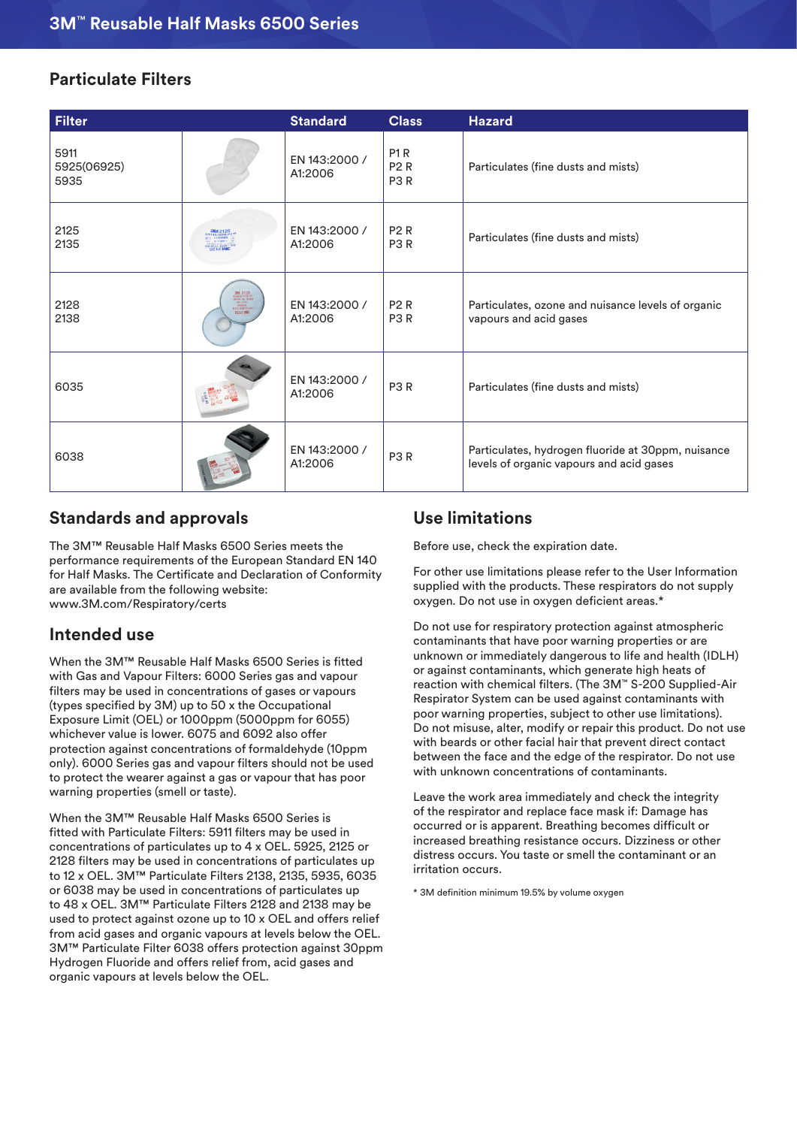#### **Particulate Filters**

| <b>Filter</b>               |                                                                              | <b>Standard</b>          | <b>Class</b>                                       | <b>Hazard</b>                                                                                  |
|-----------------------------|------------------------------------------------------------------------------|--------------------------|----------------------------------------------------|------------------------------------------------------------------------------------------------|
| 5911<br>5925(06925)<br>5935 |                                                                              | EN 143:2000 /<br>A1:2006 | P <sub>1</sub> R<br><b>P2R</b><br>P <sub>3</sub> R | Particulates (fine dusts and mists)                                                            |
| 2125<br>2135                | 3MW 2125<br>IN143:2000 P                                                     | EN 143:2000 /<br>A1:2006 | <b>P2R</b><br>P <sub>3</sub> R                     | Particulates (fine dusts and mists)                                                            |
| 2128<br>2138                | 3M 2138<br>ASN2S 1716 P3<br>UB Pat Re 38,002<br>005 LP B<br>OUGH EN CHOICHES | EN 143:2000 /<br>A1:2006 | <b>P2R</b><br>P <sub>3</sub> R                     | Particulates, ozone and nuisance levels of organic<br>vapours and acid gases                   |
| 6035                        |                                                                              | EN 143:2000 /<br>A1:2006 | P <sub>3</sub> R                                   | Particulates (fine dusts and mists)                                                            |
| 6038                        |                                                                              | EN 143:2000 /<br>A1:2006 | P <sub>3</sub> R                                   | Particulates, hydrogen fluoride at 30ppm, nuisance<br>levels of organic vapours and acid gases |

#### **Standards and approvals**

The 3M™ Reusable Half Masks 6500 Series meets the performance requirements of the European Standard EN 140 for Half Masks. The Certificate and Declaration of Conformity are available from the following website: www.3M.com/Respiratory/certs

#### **Intended use**

When the 3M™ Reusable Half Masks 6500 Series is fitted with Gas and Vapour Filters: 6000 Series gas and vapour filters may be used in concentrations of gases or vapours (types specified by 3M) up to 50 x the Occupational Exposure Limit (OEL) or 1000ppm (5000ppm for 6055) whichever value is lower. 6075 and 6092 also offer protection against concentrations of formaldehyde (10ppm only). 6000 Series gas and vapour filters should not be used to protect the wearer against a gas or vapour that has poor warning properties (smell or taste).

When the 3M™ Reusable Half Masks 6500 Series is fitted with Particulate Filters: 5911 filters may be used in concentrations of particulates up to 4 x OEL. 5925, 2125 or 2128 filters may be used in concentrations of particulates up to 12 x OEL. 3M™ Particulate Filters 2138, 2135, 5935, 6035 or 6038 may be used in concentrations of particulates up to 48 x OEL. 3M™ Particulate Filters 2128 and 2138 may be used to protect against ozone up to 10 x OEL and offers relief from acid gases and organic vapours at levels below the OEL. 3M™ Particulate Filter 6038 offers protection against 30ppm Hydrogen Fluoride and offers relief from, acid gases and organic vapours at levels below the OEL.

### **Use limitations**

Before use, check the expiration date.

For other use limitations please refer to the User Information supplied with the products. These respirators do not supply oxygen. Do not use in oxygen deficient areas.\*

Do not use for respiratory protection against atmospheric contaminants that have poor warning properties or are unknown or immediately dangerous to life and health (IDLH) or against contaminants, which generate high heats of reaction with chemical filters. (The 3M™ S-200 Supplied-Air Respirator System can be used against contaminants with poor warning properties, subject to other use limitations). Do not misuse, alter, modify or repair this product. Do not use with beards or other facial hair that prevent direct contact between the face and the edge of the respirator. Do not use with unknown concentrations of contaminants.

Leave the work area immediately and check the integrity of the respirator and replace face mask if: Damage has occurred or is apparent. Breathing becomes difficult or increased breathing resistance occurs. Dizziness or other distress occurs. You taste or smell the contaminant or an irritation occurs.

\* 3M definition minimum 19.5% by volume oxygen